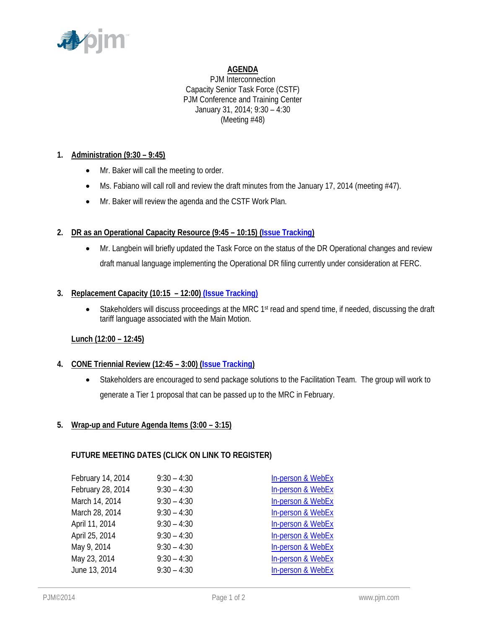

# **AGENDA**

PJM Interconnection Capacity Senior Task Force (CSTF) PJM Conference and Training Center January 31, 2014; 9:30 – 4:30 (Meeting #48)

# **1. Administration (9:30 – 9:45)**

- Mr. Baker will call the meeting to order.
- $\bullet$  Ms. Fabiano will call roll and review the draft minutes from the January 17, 2014 (meeting #47).
- Mr. Baker will review the agenda and the CSTF Work Plan.

## **2. DR as an Operational Capacity Resource (9:45 – 10:15) (Issue Tracking)**

 Mr. Langbein will briefly updated the Task Force on the status of the DR Operational changes and review draft manual language implementing the Operational DR filing currently under consideration at FERC.

## **3. Replacement Capacity (10:15 – 12:00) (Issue Tracking)**

• Stakeholders will discuss proceedings at the MRC 1<sup>st</sup> read and spend time, if needed, discussing the draft tariff language associated with the Main Motion.

## **Lunch (12:00 – 12:45)**

## **4. CONE Triennial Review (12:45 – 3:00) (Issue Tracking)**

 Stakeholders are encouraged to send package solutions to the Facilitation Team. The group will work to generate a Tier 1 proposal that can be passed up to the MRC in February.

## **5. Wrap-up and Future Agenda Items (3:00 – 3:15)**

## **FUTURE MEETING DATES (CLICK ON LINK TO REGISTER)**

| February 14, 2014 | $9:30 - 4:30$ | In-person & WebEx |
|-------------------|---------------|-------------------|
| February 28, 2014 | $9:30 - 4:30$ | In-person & WebEx |
| March 14, 2014    | $9:30 - 4:30$ | In-person & WebEx |
| March 28, 2014    | $9:30 - 4:30$ | In-person & WebEx |
| April 11, 2014    | $9:30 - 4:30$ | In-person & WebEx |
| April 25, 2014    | $9:30 - 4:30$ | In-person & WebEx |
| May 9, 2014       | $9:30 - 4:30$ | In-person & WebEx |
| May 23, 2014      | $9:30 - 4:30$ | In-person & WebEx |
| June 13, 2014     | $9:30 - 4:30$ | In-person & WebEx |
|                   |               |                   |